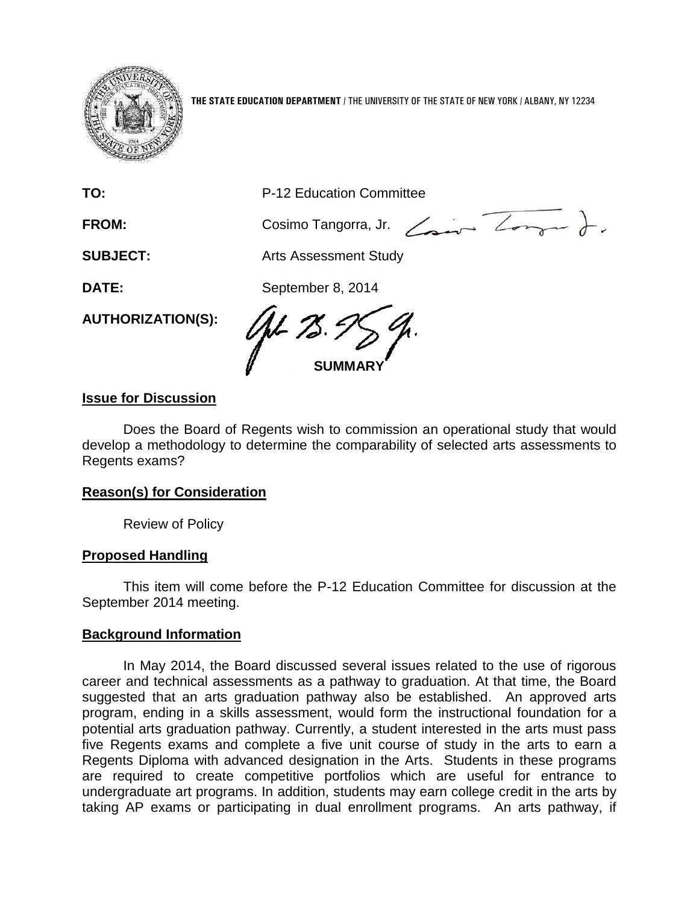

**THE STATE EDUCATION DEPARTMENT** / THE UNIVERSITY OF THE STATE OF NEW YORK / ALBANY, NY 12234

**TO:** P-12 Education Committee

FROM: Cosimo Tangorra, Jr. <del>Comment 2004</del>

**SUBJECT:** Arts Assessment Study

**DATE:** September 8, 2014

**AUTHORIZATION(S):**

1.L *78* **SUMMARY**

# **Issue for Discussion**

Does the Board of Regents wish to commission an operational study that would develop a methodology to determine the comparability of selected arts assessments to Regents exams?

# **Reason(s) for Consideration**

Review of Policy

## **Proposed Handling**

This item will come before the P-12 Education Committee for discussion at the September 2014 meeting.

## **Background Information**

In May 2014, the Board discussed several issues related to the use of rigorous career and technical assessments as a pathway to graduation. At that time, the Board suggested that an arts graduation pathway also be established. An approved arts program, ending in a skills assessment, would form the instructional foundation for a potential arts graduation pathway. Currently, a student interested in the arts must pass five Regents exams and complete a five unit course of study in the arts to earn a Regents Diploma with advanced designation in the Arts. Students in these programs are required to create competitive portfolios which are useful for entrance to undergraduate art programs. In addition, students may earn college credit in the arts by taking AP exams or participating in dual enrollment programs. An arts pathway, if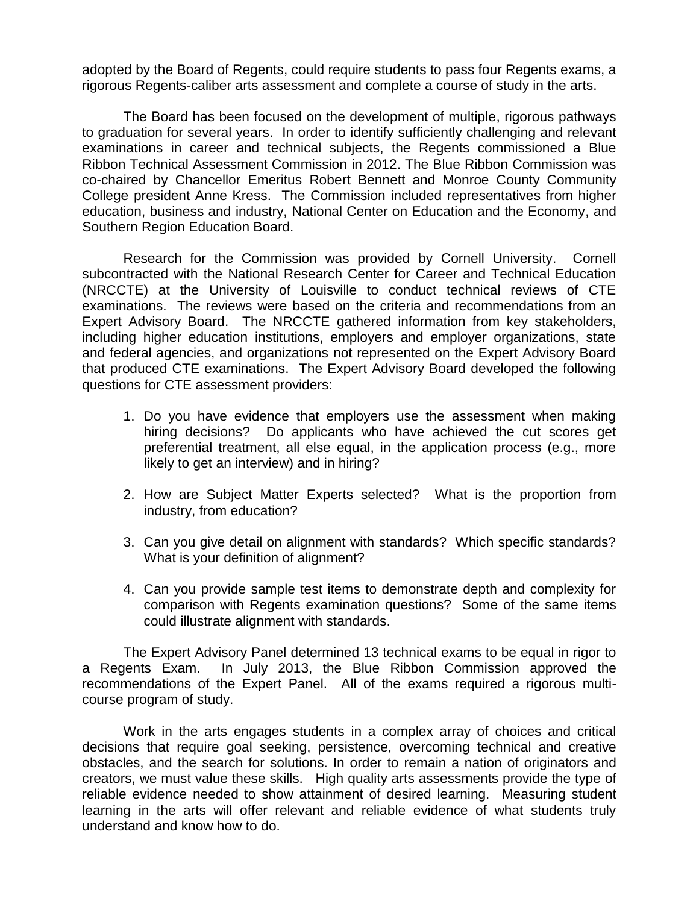adopted by the Board of Regents, could require students to pass four Regents exams, a rigorous Regents-caliber arts assessment and complete a course of study in the arts.

The Board has been focused on the development of multiple, rigorous pathways to graduation for several years. In order to identify sufficiently challenging and relevant examinations in career and technical subjects, the Regents commissioned a Blue Ribbon Technical Assessment Commission in 2012. The Blue Ribbon Commission was co-chaired by Chancellor Emeritus Robert Bennett and Monroe County Community College president Anne Kress. The Commission included representatives from higher education, business and industry, National Center on Education and the Economy, and Southern Region Education Board.

Research for the Commission was provided by Cornell University. Cornell subcontracted with the National Research Center for Career and Technical Education (NRCCTE) at the University of Louisville to conduct technical reviews of CTE examinations. The reviews were based on the criteria and recommendations from an Expert Advisory Board. The NRCCTE gathered information from key stakeholders, including higher education institutions, employers and employer organizations, state and federal agencies, and organizations not represented on the Expert Advisory Board that produced CTE examinations. The Expert Advisory Board developed the following questions for CTE assessment providers:

- 1. Do you have evidence that employers use the assessment when making hiring decisions? Do applicants who have achieved the cut scores get preferential treatment, all else equal, in the application process (e.g., more likely to get an interview) and in hiring?
- 2. How are Subject Matter Experts selected? What is the proportion from industry, from education?
- 3. Can you give detail on alignment with standards? Which specific standards? What is your definition of alignment?
- 4. Can you provide sample test items to demonstrate depth and complexity for comparison with Regents examination questions? Some of the same items could illustrate alignment with standards.

The Expert Advisory Panel determined 13 technical exams to be equal in rigor to a Regents Exam. In July 2013, the Blue Ribbon Commission approved the recommendations of the Expert Panel. All of the exams required a rigorous multicourse program of study.

Work in the arts engages students in a complex array of choices and critical decisions that require goal seeking, persistence, overcoming technical and creative obstacles, and the search for solutions. In order to remain a nation of originators and creators, we must value these skills. High quality arts assessments provide the type of reliable evidence needed to show attainment of desired learning. Measuring student learning in the arts will offer relevant and reliable evidence of what students truly understand and know how to do.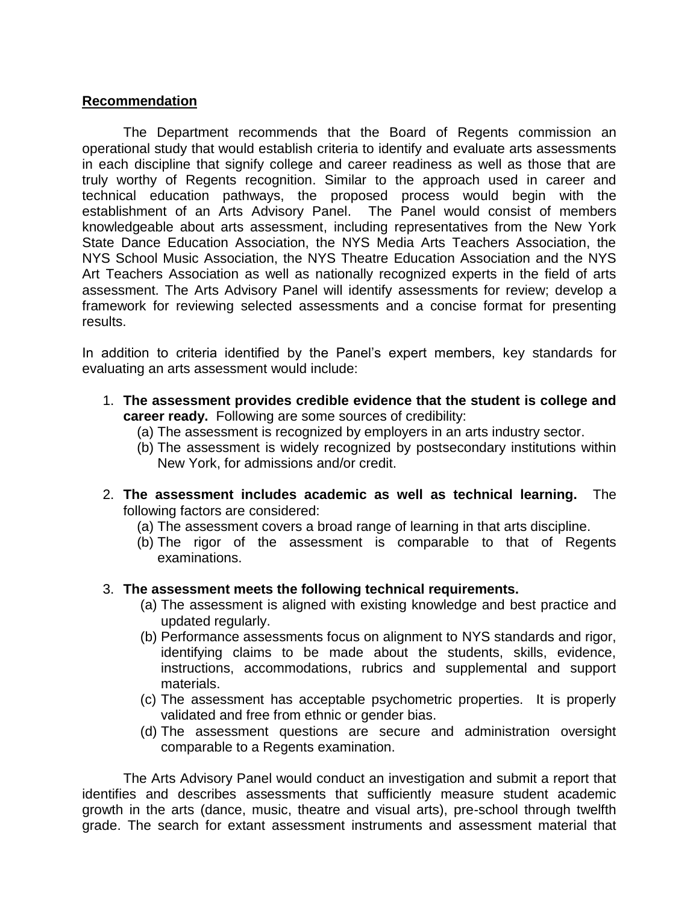#### **Recommendation**

The Department recommends that the Board of Regents commission an operational study that would establish criteria to identify and evaluate arts assessments in each discipline that signify college and career readiness as well as those that are truly worthy of Regents recognition. Similar to the approach used in career and technical education pathways, the proposed process would begin with the establishment of an Arts Advisory Panel. The Panel would consist of members knowledgeable about arts assessment, including representatives from the New York State Dance Education Association, the NYS Media Arts Teachers Association, the NYS School Music Association, the NYS Theatre Education Association and the NYS Art Teachers Association as well as nationally recognized experts in the field of arts assessment. The Arts Advisory Panel will identify assessments for review; develop a framework for reviewing selected assessments and a concise format for presenting results.

In addition to criteria identified by the Panel's expert members, key standards for evaluating an arts assessment would include:

- 1. **The assessment provides credible evidence that the student is college and career ready.** Following are some sources of credibility:
	- (a) The assessment is recognized by employers in an arts industry sector.
	- (b) The assessment is widely recognized by postsecondary institutions within New York, for admissions and/or credit.
- 2. **The assessment includes academic as well as technical learning.** The following factors are considered:
	- (a) The assessment covers a broad range of learning in that arts discipline.
	- (b) The rigor of the assessment is comparable to that of Regents examinations.

#### 3. **The assessment meets the following technical requirements.**

- (a) The assessment is aligned with existing knowledge and best practice and updated regularly.
- (b) Performance assessments focus on alignment to NYS standards and rigor, identifying claims to be made about the students, skills, evidence, instructions, accommodations, rubrics and supplemental and support materials.
- (c) The assessment has acceptable psychometric properties. It is properly validated and free from ethnic or gender bias.
- (d) The assessment questions are secure and administration oversight comparable to a Regents examination.

The Arts Advisory Panel would conduct an investigation and submit a report that identifies and describes assessments that sufficiently measure student academic growth in the arts (dance, music, theatre and visual arts), pre-school through twelfth grade. The search for extant assessment instruments and assessment material that